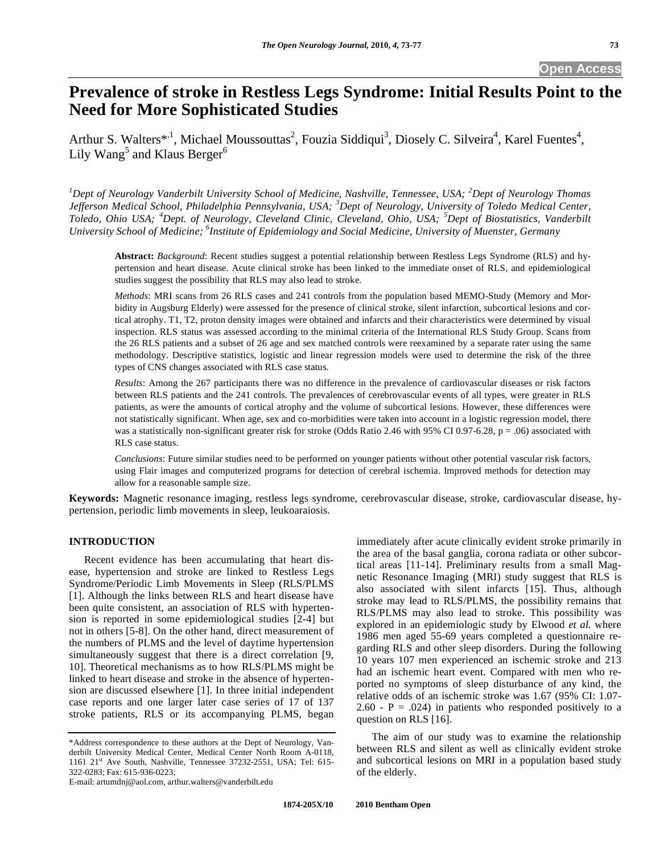# **Prevalence of stroke in Restless Legs Syndrome: Initial Results Point to the Need for More Sophisticated Studies**

Arthur S. Walters<sup>\*,1</sup>, Michael Moussouttas<sup>2</sup>, Fouzia Siddiqui<sup>3</sup>, Diosely C. Silveira<sup>4</sup>, Karel Fuentes<sup>4</sup>, Lily Wang<sup>5</sup> and Klaus Berger<sup>6</sup>

*1 Dept of Neurology Vanderbilt University School of Medicine, Nashville, Tennessee, USA; <sup>2</sup> Dept of Neurology Thomas Jefferson Medical School, Philadelphia Pennsylvania, USA; <sup>3</sup> Dept of Neurology, University of Toledo Medical Center, Toledo, Ohio USA; <sup>4</sup> Dept. of Neurology, Cleveland Clinic, Cleveland, Ohio, USA; <sup>5</sup> Dept of Biostatistics, Vanderbilt*  University School of Medicine; <sup>6</sup>Institute of Epidemiology and Social Medicine, University of Muenster, Germany

**Abstract:** *Background*: Recent studies suggest a potential relationship between Restless Legs Syndrome (RLS) and hypertension and heart disease. Acute clinical stroke has been linked to the immediate onset of RLS, and epidemiological studies suggest the possibility that RLS may also lead to stroke.

*Methods*: MRI scans from 26 RLS cases and 241 controls from the population based MEMO-Study (Memory and Morbidity in Augsburg Elderly) were assessed for the presence of clinical stroke, silent infarction, subcortical lesions and cortical atrophy. T1, T2, proton density images were obtained and infarcts and their characteristics were determined by visual inspection. RLS status was assessed according to the minimal criteria of the International RLS Study Group. Scans from the 26 RLS patients and a subset of 26 age and sex matched controls were reexamined by a separate rater using the same methodology. Descriptive statistics, logistic and linear regression models were used to determine the risk of the three types of CNS changes associated with RLS case status.

*Results*: Among the 267 participants there was no difference in the prevalence of cardiovascular diseases or risk factors between RLS patients and the 241 controls. The prevalences of cerebrovascular events of all types, were greater in RLS patients, as were the amounts of cortical atrophy and the volume of subcortical lesions. However, these differences were not statistically significant. When age, sex and co-morbidities were taken into account in a logistic regression model, there was a statistically non-significant greater risk for stroke (Odds Ratio 2.46 with 95% CI 0.97-6.28,  $p = .06$ ) associated with RLS case status.

*Conclusions*: Future similar studies need to be performed on younger patients without other potential vascular risk factors, using Flair images and computerized programs for detection of cerebral ischemia. Improved methods for detection may allow for a reasonable sample size.

**Keywords:** Magnetic resonance imaging, restless legs syndrome, cerebrovascular disease, stroke, cardiovascular disease, hypertension, periodic limb movements in sleep, leukoaraiosis.

# **INTRODUCTION**

 Recent evidence has been accumulating that heart disease, hypertension and stroke are linked to Restless Legs Syndrome/Periodic Limb Movements in Sleep (RLS/PLMS [1]. Although the links between RLS and heart disease have been quite consistent, an association of RLS with hypertension is reported in some epidemiological studies [2-4] but not in others [5-8]. On the other hand, direct measurement of the numbers of PLMS and the level of daytime hypertension simultaneously suggest that there is a direct correlation [9, 10]. Theoretical mechanisms as to how RLS/PLMS might be linked to heart disease and stroke in the absence of hypertension are discussed elsewhere [1]. In three initial independent case reports and one larger later case series of 17 of 137 stroke patients, RLS or its accompanying PLMS, began

immediately after acute clinically evident stroke primarily in the area of the basal ganglia, corona radiata or other subcortical areas [11-14]. Preliminary results from a small Magnetic Resonance Imaging (MRI) study suggest that RLS is also associated with silent infarcts [15]. Thus, although stroke may lead to RLS/PLMS, the possibility remains that RLS/PLMS may also lead to stroke. This possibility was explored in an epidemiologic study by Elwood *et al.* where 1986 men aged 55-69 years completed a questionnaire regarding RLS and other sleep disorders. During the following 10 years 107 men experienced an ischemic stroke and 213 had an ischemic heart event. Compared with men who reported no symptoms of sleep disturbance of any kind, the relative odds of an ischemic stroke was 1.67 (95% CI: 1.07- 2.60 - P = .024) in patients who responded positively to a question on RLS [16].

 The aim of our study was to examine the relationship between RLS and silent as well as clinically evident stroke and subcortical lesions on MRI in a population based study of the elderly.

<sup>\*</sup>Address correspondence to these authors at the Dept of Neurology, Vanderbilt University Medical Center, Medical Center North Room A-0118, 1161 21<sup>st</sup> Ave South, Nashville, Tennessee 37232-2551, USA; Tel: 615-322-0283; Fax: 615-936-0223;

E-mail: artumdnj@aol.com, arthur.walters@vanderbilt.edu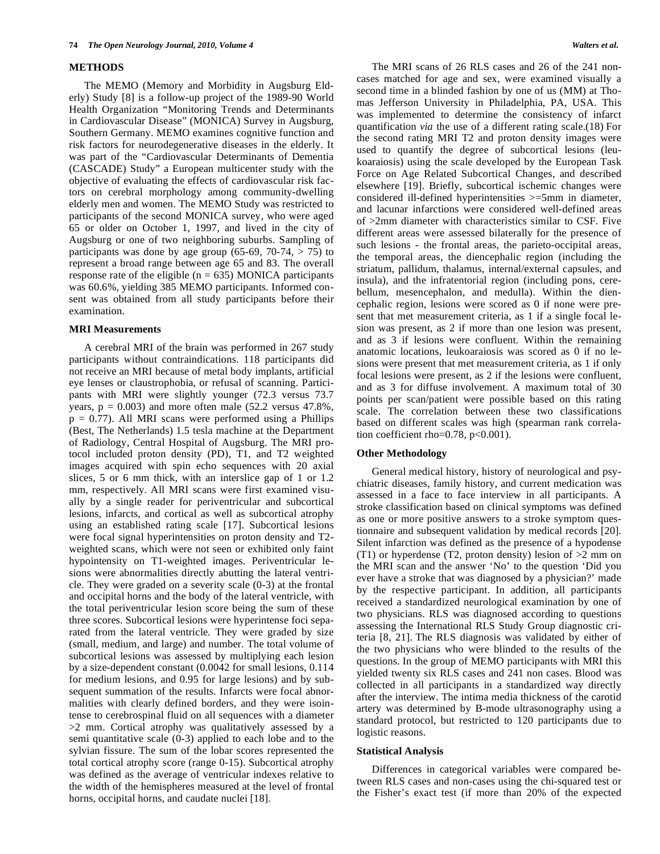#### **METHODS**

 The MEMO (Memory and Morbidity in Augsburg Elderly) Study [8] is a follow-up project of the 1989-90 World Health Organization "Monitoring Trends and Determinants in Cardiovascular Disease" (MONICA) Survey in Augsburg, Southern Germany. MEMO examines cognitive function and risk factors for neurodegenerative diseases in the elderly. It was part of the "Cardiovascular Determinants of Dementia (CASCADE) Study" a European multicenter study with the objective of evaluating the effects of cardiovascular risk factors on cerebral morphology among community-dwelling elderly men and women. The MEMO Study was restricted to participants of the second MONICA survey, who were aged 65 or older on October 1, 1997, and lived in the city of Augsburg or one of two neighboring suburbs. Sampling of participants was done by age group  $(65-69, 70-74, > 75)$  to represent a broad range between age 65 and 83. The overall response rate of the eligible ( $n = 635$ ) MONICA participants was 60.6%, yielding 385 MEMO participants. Informed consent was obtained from all study participants before their examination.

#### **MRI Measurements**

 A cerebral MRI of the brain was performed in 267 study participants without contraindications. 118 participants did not receive an MRI because of metal body implants, artificial eye lenses or claustrophobia, or refusal of scanning. Participants with MRI were slightly younger (72.3 versus 73.7 years,  $p = 0.003$ ) and more often male (52.2 versus 47.8%,  $p = 0.77$ ). All MRI scans were performed using a Phillips (Best, The Netherlands) 1.5 tesla machine at the Department of Radiology, Central Hospital of Augsburg. The MRI protocol included proton density (PD), T1, and T2 weighted images acquired with spin echo sequences with 20 axial slices, 5 or 6 mm thick, with an interslice gap of 1 or 1.2 mm, respectively. All MRI scans were first examined visually by a single reader for periventricular and subcortical lesions, infarcts, and cortical as well as subcortical atrophy using an established rating scale [17]. Subcortical lesions were focal signal hyperintensities on proton density and T2 weighted scans, which were not seen or exhibited only faint hypointensity on T1-weighted images. Periventricular lesions were abnormalities directly abutting the lateral ventricle. They were graded on a severity scale (0-3) at the frontal and occipital horns and the body of the lateral ventricle, with the total periventricular lesion score being the sum of these three scores. Subcortical lesions were hyperintense foci separated from the lateral ventricle. They were graded by size (small, medium, and large) and number. The total volume of subcortical lesions was assessed by multiplying each lesion by a size-dependent constant (0.0042 for small lesions, 0.114 for medium lesions, and 0.95 for large lesions) and by subsequent summation of the results. Infarcts were focal abnormalities with clearly defined borders, and they were isointense to cerebrospinal fluid on all sequences with a diameter >2 mm. Cortical atrophy was qualitatively assessed by a semi quantitative scale (0-3) applied to each lobe and to the sylvian fissure. The sum of the lobar scores represented the total cortical atrophy score (range 0-15). Subcortical atrophy was defined as the average of ventricular indexes relative to the width of the hemispheres measured at the level of frontal horns, occipital horns, and caudate nuclei [18].

 The MRI scans of 26 RLS cases and 26 of the 241 noncases matched for age and sex, were examined visually a second time in a blinded fashion by one of us (MM) at Thomas Jefferson University in Philadelphia, PA, USA. This was implemented to determine the consistency of infarct quantification *via* the use of a different rating scale.(18) For the second rating MRI T2 and proton density images were used to quantify the degree of subcortical lesions (leukoaraiosis) using the scale developed by the European Task Force on Age Related Subcortical Changes, and described elsewhere [19]. Briefly, subcortical ischemic changes were considered ill-defined hyperintensities >=5mm in diameter, and lacunar infarctions were considered well-defined areas of >2mm diameter with characteristics similar to CSF. Five different areas were assessed bilaterally for the presence of such lesions - the frontal areas, the parieto-occipital areas, the temporal areas, the diencephalic region (including the striatum, pallidum, thalamus, internal/external capsules, and insula), and the infratentorial region (including pons, cerebellum, mesencephalon, and medulla). Within the diencephalic region, lesions were scored as 0 if none were present that met measurement criteria, as 1 if a single focal lesion was present, as 2 if more than one lesion was present, and as 3 if lesions were confluent. Within the remaining anatomic locations, leukoaraiosis was scored as 0 if no lesions were present that met measurement criteria, as 1 if only focal lesions were present, as 2 if the lesions were confluent, and as 3 for diffuse involvement. A maximum total of 30 points per scan/patient were possible based on this rating scale. The correlation between these two classifications based on different scales was high (spearman rank correlation coefficient rho= $0.78$ , p< $0.001$ ).

#### **Other Methodology**

 General medical history, history of neurological and psychiatric diseases, family history, and current medication was assessed in a face to face interview in all participants. A stroke classification based on clinical symptoms was defined as one or more positive answers to a stroke symptom questionnaire and subsequent validation by medical records [20]. Silent infarction was defined as the presence of a hypodense (T1) or hyperdense (T2, proton density) lesion of  $>2$  mm on the MRI scan and the answer 'No' to the question 'Did you ever have a stroke that was diagnosed by a physician?' made by the respective participant. In addition, all participants received a standardized neurological examination by one of two physicians. RLS was diagnosed according to questions assessing the International RLS Study Group diagnostic criteria [8, 21]. The RLS diagnosis was validated by either of the two physicians who were blinded to the results of the questions. In the group of MEMO participants with MRI this yielded twenty six RLS cases and 241 non cases. Blood was collected in all participants in a standardized way directly after the interview. The intima media thickness of the carotid artery was determined by B-mode ultrasonography using a standard protocol, but restricted to 120 participants due to logistic reasons.

#### **Statistical Analysis**

 Differences in categorical variables were compared between RLS cases and non-cases using the chi-squared test or the Fisher's exact test (if more than 20% of the expected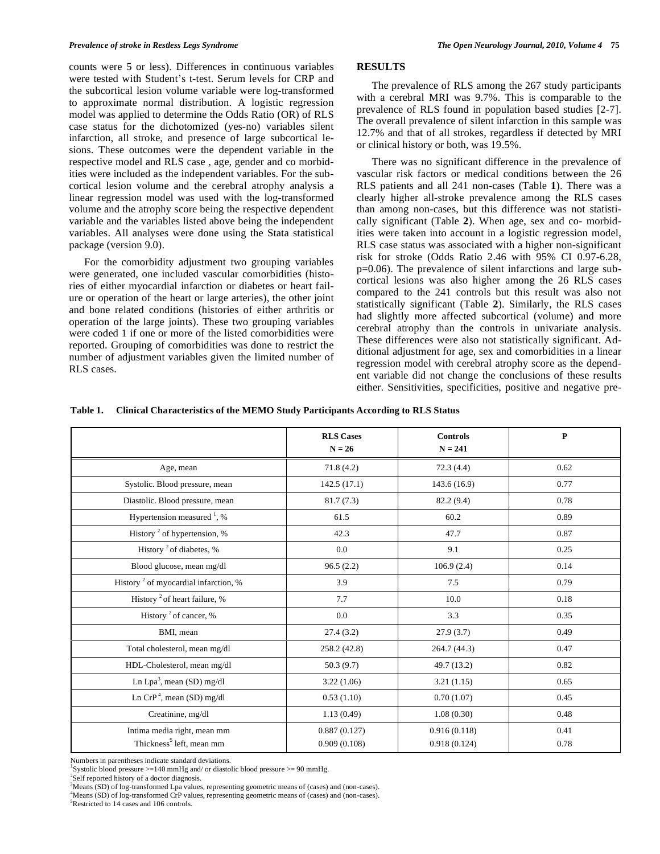counts were 5 or less). Differences in continuous variables were tested with Student's t-test. Serum levels for CRP and the subcortical lesion volume variable were log-transformed to approximate normal distribution. A logistic regression model was applied to determine the Odds Ratio (OR) of RLS case status for the dichotomized (yes-no) variables silent infarction, all stroke, and presence of large subcortical lesions. These outcomes were the dependent variable in the respective model and RLS case , age, gender and co morbidities were included as the independent variables. For the subcortical lesion volume and the cerebral atrophy analysis a linear regression model was used with the log-transformed volume and the atrophy score being the respective dependent variable and the variables listed above being the independent variables. All analyses were done using the Stata statistical package (version 9.0).

 For the comorbidity adjustment two grouping variables were generated, one included vascular comorbidities (histories of either myocardial infarction or diabetes or heart failure or operation of the heart or large arteries), the other joint and bone related conditions (histories of either arthritis or operation of the large joints). These two grouping variables were coded 1 if one or more of the listed comorbidities were reported. Grouping of comorbidities was done to restrict the number of adjustment variables given the limited number of RLS cases.

# **RESULTS**

 The prevalence of RLS among the 267 study participants with a cerebral MRI was 9.7%. This is comparable to the prevalence of RLS found in population based studies [2-7]. The overall prevalence of silent infarction in this sample was 12.7% and that of all strokes, regardless if detected by MRI or clinical history or both, was 19.5%.

 There was no significant difference in the prevalence of vascular risk factors or medical conditions between the 26 RLS patients and all 241 non-cases (Table **1**). There was a clearly higher all-stroke prevalence among the RLS cases than among non-cases, but this difference was not statistically significant (Table **2**). When age, sex and co- morbidities were taken into account in a logistic regression model, RLS case status was associated with a higher non-significant risk for stroke (Odds Ratio 2.46 with 95% CI 0.97-6.28, p=0.06). The prevalence of silent infarctions and large subcortical lesions was also higher among the 26 RLS cases compared to the 241 controls but this result was also not statistically significant (Table **2**). Similarly, the RLS cases had slightly more affected subcortical (volume) and more cerebral atrophy than the controls in univariate analysis. These differences were also not statistically significant. Additional adjustment for age, sex and comorbidities in a linear regression model with cerebral atrophy score as the dependent variable did not change the conclusions of these results either. Sensitivities, specificities, positive and negative pre-

**Table 1. Clinical Characteristics of the MEMO Study Participants According to RLS Status** 

|                                                  | <b>RLS Cases</b><br>$N = 26$ | <b>Controls</b><br>$N = 241$ | $\mathbf{P}$ |
|--------------------------------------------------|------------------------------|------------------------------|--------------|
| Age, mean                                        | 71.8(4.2)                    | 72.3(4.4)                    | 0.62         |
| Systolic. Blood pressure, mean                   | 142.5(17.1)                  | 143.6(16.9)                  | 0.77         |
| Diastolic. Blood pressure, mean                  | 81.7(7.3)                    | 82.2 (9.4)                   | 0.78         |
| Hypertension measured $\frac{1}{2}$ , %          | 61.5                         | 60.2                         | 0.89         |
| History <sup>2</sup> of hypertension, %          | 42.3                         | 47.7                         | 0.87         |
| History <sup>2</sup> of diabetes, %              | 0.0                          | 9.1                          | 0.25         |
| Blood glucose, mean mg/dl                        | 96.5(2.2)                    | 106.9(2.4)                   | 0.14         |
| History <sup>2</sup> of myocardial infarction, % | 3.9                          | 7.5                          | 0.79         |
| History <sup>2</sup> of heart failure, %         | 7.7                          | 10.0                         | 0.18         |
| History <sup>2</sup> of cancer, %                | 0.0                          | 3.3                          | 0.35         |
| BMI, mean                                        | 27.4(3.2)                    | 27.9(3.7)                    | 0.49         |
| Total cholesterol, mean mg/dl                    | 258.2 (42.8)                 | 264.7 (44.3)                 | 0.47         |
| HDL-Cholesterol, mean mg/dl                      | 50.3(9.7)                    | 49.7 (13.2)                  | 0.82         |
| Ln Lpa <sup>3</sup> , mean (SD) mg/dl            | 3.22(1.06)                   | 3.21(1.15)                   | 0.65         |
| Ln CrP <sup>4</sup> , mean (SD) mg/dl            | 0.53(1.10)                   | 0.70(1.07)                   | 0.45         |
| Creatinine, mg/dl                                | 1.13(0.49)                   | 1.08(0.30)                   | 0.48         |
| Intima media right, mean mm                      | 0.887(0.127)                 | 0.916(0.118)                 | 0.41         |
| Thickness <sup>5</sup> left, mean mm             | 0.909(0.108)                 | 0.918(0.124)                 | 0.78         |

Numbers in parentheses indicate standard deviations.

<sup>1</sup>Systolic blood pressure >=140 mmHg and/ or diastolic blood pressure >= 90 mmHg.

<sup>2</sup>Self reported history of a doctor diagnosis.

<sup>3</sup>Means (SD) of log-transformed Lpa values, representing geometric means of (cases) and (non-cases).

4 Means (SD) of log-transformed CrP values, representing geometric means of (cases) and (non-cases).

5 Restricted to 14 cases and 106 controls.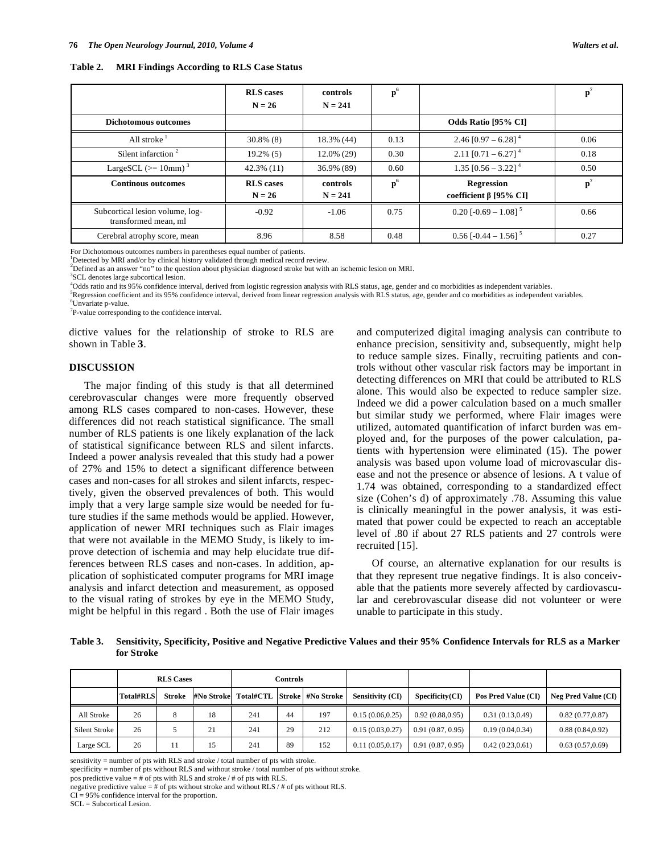**Table 2. MRI Findings According to RLS Case Status** 

|                                                         | <b>RLS</b> cases<br>$N = 26$ | controls<br>$N = 241$ | p <sup>6</sup> |                                                   | $\mathbf{p}^{\prime}$ |
|---------------------------------------------------------|------------------------------|-----------------------|----------------|---------------------------------------------------|-----------------------|
| <b>Dichotomous outcomes</b>                             |                              |                       |                | Odds Ratio [95% CI]                               |                       |
| All stroke <sup><math>1</math></sup>                    | $30.8\%$ (8)                 | 18.3% (44)            | 0.13           | $2.46$ [0.97 – 6.28] <sup>4</sup>                 | 0.06                  |
| Silent infarction $2$                                   | $19.2\%$ (5)                 | 12.0% (29)            | 0.30           | 2.11 $[0.71 - 6.27]$ <sup>4</sup>                 | 0.18                  |
| LargeSCL $(>= 10$ mm $)^3$                              | $42.3\%$ (11)                | 36.9% (89)            | 0.60           | 1.35 $[0.56 - 3.22]$ <sup>4</sup>                 | 0.50                  |
| <b>Continous outcomes</b>                               | <b>RLS</b> cases<br>$N = 26$ | controls<br>$N = 241$ | p <sup>6</sup> | <b>Regression</b><br>coefficient $\beta$ [95% CI] | $\mathbf{p}^7$        |
| Subcortical lesion volume, log-<br>transformed mean, ml | $-0.92$                      | $-1.06$               | 0.75           | $0.20$ [-0.69 – 1.08] <sup>5</sup>                | 0.66                  |
| Cerebral atrophy score, mean                            | 8.96                         | 8.58                  | 0.48           | $0.56$ [-0.44 – 1.56] <sup>5</sup>                | 0.27                  |

For Dichotomous outcomes numbers in parentheses equal number of patients.

1 Detected by MRI and/or by clinical history validated through medical record review.

2 Defined as an answer "no" to the question about physician diagnosed stroke but with an ischemic lesion on MRI.

3 SCL denotes large subcortical lesion.

<sup>4</sup>Odds ratio and its 95% confidence interval, derived from logistic regression analysis with RLS status, age, gender and co morbidities as independent variables.

<sup>5</sup>Regression coefficient and its 95% confidence interval, derived from linear regression analysis with RLS status, age, gender and co morbidities as independent variables.

Unvariate p-value.

 $7$ P-value corresponding to the confidence interval.

dictive values for the relationship of stroke to RLS are shown in Table **3**.

# **DISCUSSION**

 The major finding of this study is that all determined cerebrovascular changes were more frequently observed among RLS cases compared to non-cases. However, these differences did not reach statistical significance. The small number of RLS patients is one likely explanation of the lack of statistical significance between RLS and silent infarcts. Indeed a power analysis revealed that this study had a power of 27% and 15% to detect a significant difference between cases and non-cases for all strokes and silent infarcts, respectively, given the observed prevalences of both. This would imply that a very large sample size would be needed for future studies if the same methods would be applied. However, application of newer MRI techniques such as Flair images that were not available in the MEMO Study, is likely to improve detection of ischemia and may help elucidate true differences between RLS cases and non-cases. In addition, application of sophisticated computer programs for MRI image analysis and infarct detection and measurement, as opposed to the visual rating of strokes by eye in the MEMO Study, might be helpful in this regard . Both the use of Flair images and computerized digital imaging analysis can contribute to enhance precision, sensitivity and, subsequently, might help to reduce sample sizes. Finally, recruiting patients and controls without other vascular risk factors may be important in detecting differences on MRI that could be attributed to RLS alone. This would also be expected to reduce sampler size. Indeed we did a power calculation based on a much smaller but similar study we performed, where Flair images were utilized, automated quantification of infarct burden was employed and, for the purposes of the power calculation, patients with hypertension were eliminated (15). The power analysis was based upon volume load of microvascular disease and not the presence or absence of lesions. A t value of 1.74 was obtained, corresponding to a standardized effect size (Cohen's d) of approximately .78. Assuming this value is clinically meaningful in the power analysis, it was estimated that power could be expected to reach an acceptable level of .80 if about 27 RLS patients and 27 controls were recruited [15].

 Of course, an alternative explanation for our results is that they represent true negative findings. It is also conceivable that the patients more severely affected by cardiovascular and cerebrovascular disease did not volunteer or were unable to participate in this study.

**Table 3. Sensitivity, Specificity, Positive and Negative Predictive Values and their 95% Confidence Intervals for RLS as a Marker for Stroke** 

|               | <b>RLS Cases</b> |        | <b>Controls</b> |           |    |                   |                  |                  |                     |                            |
|---------------|------------------|--------|-----------------|-----------|----|-------------------|------------------|------------------|---------------------|----------------------------|
|               | <b>Total#RLS</b> | Stroke | #No Stroke      | Total#CTL |    | Stroke #No Stroke | Sensitivity (CI) | Specificity(CI)  | Pos Pred Value (CI) | <b>Neg Pred Value (CI)</b> |
| All Stroke    | 26               | 8      | 18              | 241       | 44 | 197               | 0.15(0.06.0.25)  | 0.92(0.88, 0.95) | 0.31(0.13.0.49)     | 0.82(0.77, 0.87)           |
| Silent Stroke | 26               |        | 21              | 241       | 29 | 212               | 0.15(0.03.0.27)  | 0.91(0.87, 0.95) | 0.19(0.04, 0.34)    | 0.88(0.84, 0.92)           |
| Large SCL     | 26               | 11     | 15              | 241       | 89 | 152               | 0.11(0.05, 0.17) | 0.91(0.87, 0.95) | 0.42(0.23, 0.61)    | 0.63(0.57,0.69)            |

sensitivity  $=$  number of pts with RLS and stroke  $/$  total number of pts with stroke.

specificity = number of pts without RLS and without stroke / total number of pts without stroke.

pos predictive value  $=$  # of pts with RLS and stroke  $/$  # of pts with RLS.

 $CI = 95\%$  confidence interval for the proportion.

SCL = Subcortical Lesion.

negative predictive value  $=$  # of pts without stroke and without RLS  $/$  # of pts without RLS.